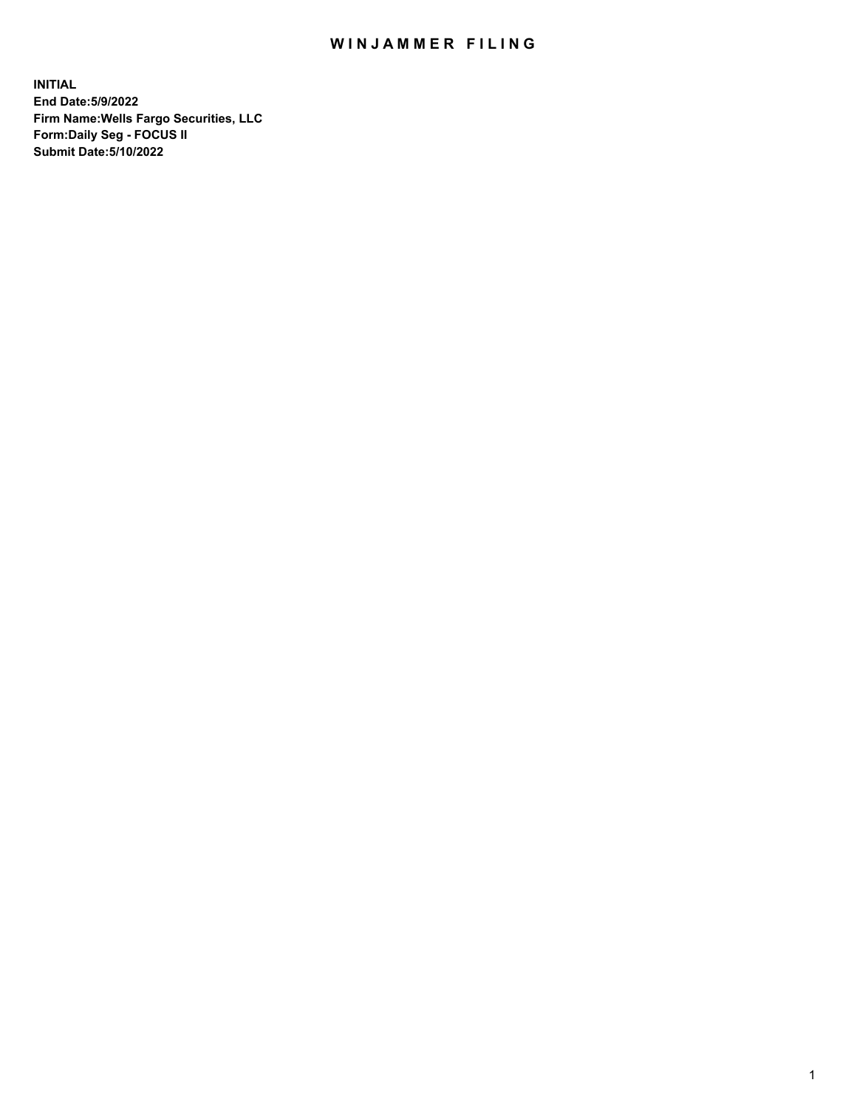## WIN JAMMER FILING

**INITIAL End Date:5/9/2022 Firm Name:Wells Fargo Securities, LLC Form:Daily Seg - FOCUS II Submit Date:5/10/2022**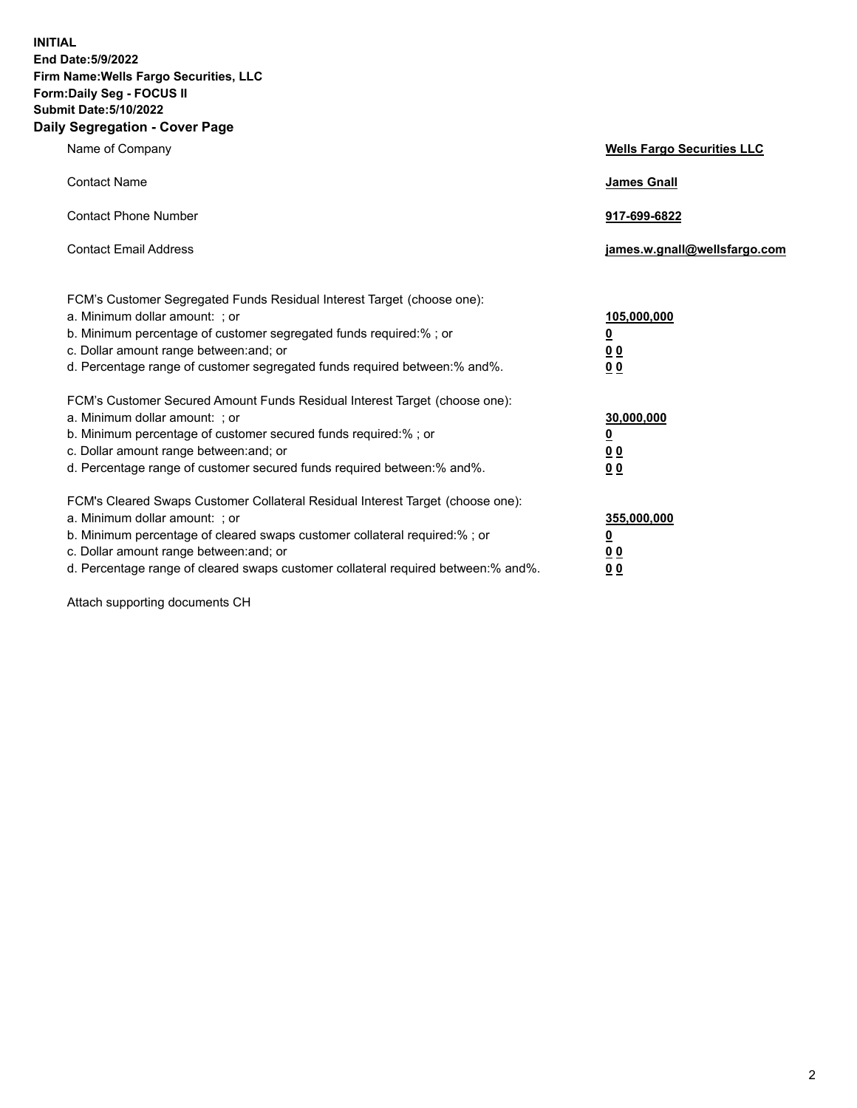**INITIAL End Date:5/9/2022 Firm Name:Wells Fargo Securities, LLC Form:Daily Seg - FOCUS II Submit Date:5/10/2022 Daily Segregation - Cover Page**

| Name of Company                                                                                                                                                                                                                                                                                                                | <b>Wells Fargo Securities LLC</b>                          |
|--------------------------------------------------------------------------------------------------------------------------------------------------------------------------------------------------------------------------------------------------------------------------------------------------------------------------------|------------------------------------------------------------|
| <b>Contact Name</b>                                                                                                                                                                                                                                                                                                            | <b>James Gnall</b>                                         |
| <b>Contact Phone Number</b>                                                                                                                                                                                                                                                                                                    | 917-699-6822                                               |
| <b>Contact Email Address</b>                                                                                                                                                                                                                                                                                                   | james.w.gnall@wellsfargo.com                               |
| FCM's Customer Segregated Funds Residual Interest Target (choose one):<br>a. Minimum dollar amount: ; or<br>b. Minimum percentage of customer segregated funds required:% ; or<br>c. Dollar amount range between: and; or<br>d. Percentage range of customer segregated funds required between:% and%.                         | 105,000,000<br><u>0</u><br>0 <sub>0</sub><br>00            |
| FCM's Customer Secured Amount Funds Residual Interest Target (choose one):<br>a. Minimum dollar amount: ; or<br>b. Minimum percentage of customer secured funds required:%; or<br>c. Dollar amount range between: and; or<br>d. Percentage range of customer secured funds required between:% and%.                            | 30,000,000<br><u>0</u><br>0 <sub>0</sub><br>0 <sub>0</sub> |
| FCM's Cleared Swaps Customer Collateral Residual Interest Target (choose one):<br>a. Minimum dollar amount: ; or<br>b. Minimum percentage of cleared swaps customer collateral required:% ; or<br>c. Dollar amount range between: and; or<br>d. Percentage range of cleared swaps customer collateral required between:% and%. | 355,000,000<br><u>0</u><br>00<br>00                        |

Attach supporting documents CH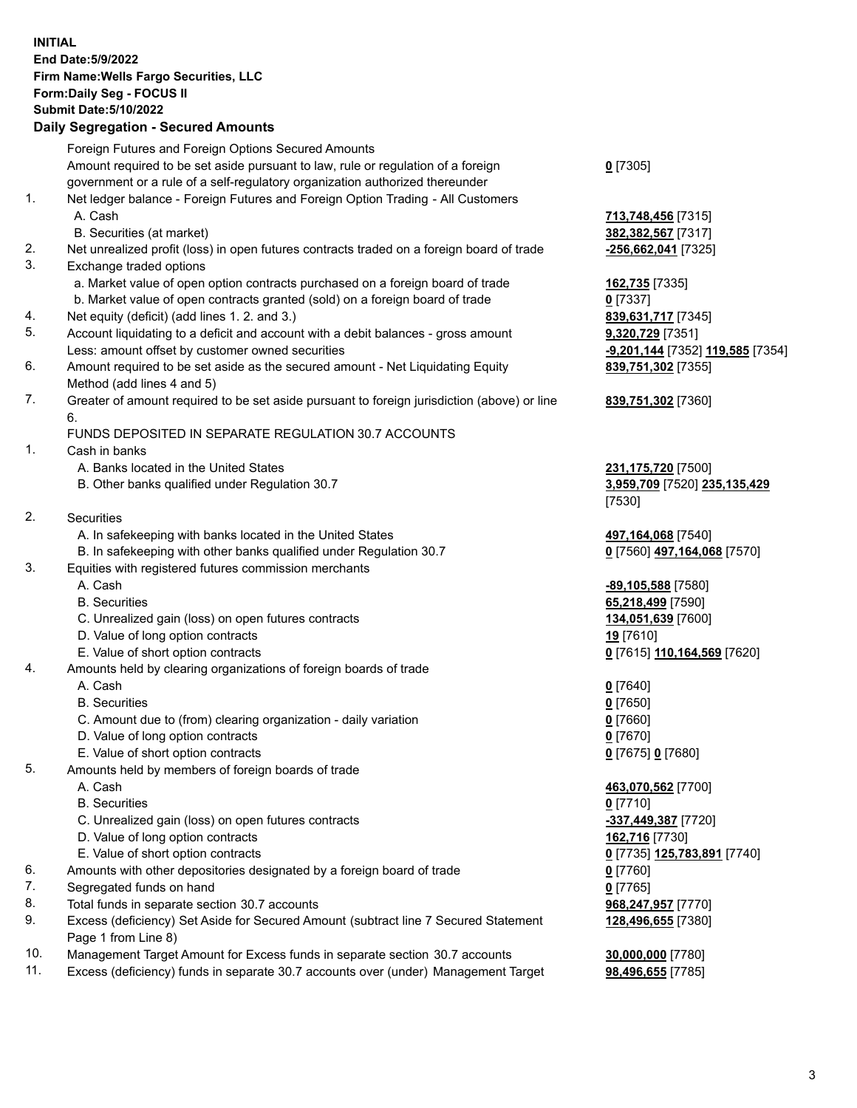**INITIAL End Date:5/9/2022 Firm Name:Wells Fargo Securities, LLC Form:Daily Seg - FOCUS II Submit Date:5/10/2022 Daily Segregation - Secured Amounts**

Foreign Futures and Foreign Options Secured Amounts Amount required to be set aside pursuant to law, rule or regulation of a foreign government or a rule of a self-regulatory organization authorized thereunder **0** [7305] 1. Net ledger balance - Foreign Futures and Foreign Option Trading - All Customers A. Cash **713,748,456** [7315] B. Securities (at market) **382,382,567** [7317] 2. Net unrealized profit (loss) in open futures contracts traded on a foreign board of trade **-256,662,041** [7325] 3. Exchange traded options a. Market value of open option contracts purchased on a foreign board of trade **162,735** [7335] b. Market value of open contracts granted (sold) on a foreign board of trade **0** [7337] 4. Net equity (deficit) (add lines 1. 2. and 3.) **839,631,717** [7345] 5. Account liquidating to a deficit and account with a debit balances - gross amount **9,320,729** [7351] Less: amount offset by customer owned securities **-9,201,144** [7352] **119,585** [7354] 6. Amount required to be set aside as the secured amount - Net Liquidating Equity Method (add lines 4 and 5) **839,751,302** [7355] 7. Greater of amount required to be set aside pursuant to foreign jurisdiction (above) or line 6. **839,751,302** [7360] FUNDS DEPOSITED IN SEPARATE REGULATION 30.7 ACCOUNTS 1. Cash in banks A. Banks located in the United States **231,175,720** [7500] B. Other banks qualified under Regulation 30.7 **3,959,709** [7520] **235,135,429** [7530] 2. Securities A. In safekeeping with banks located in the United States **497,164,068** [7540] B. In safekeeping with other banks qualified under Regulation 30.7 **0** [7560] **497,164,068** [7570] 3. Equities with registered futures commission merchants A. Cash **-89,105,588** [7580] B. Securities **65,218,499** [7590] C. Unrealized gain (loss) on open futures contracts **134,051,639** [7600] D. Value of long option contracts **19** [7610] E. Value of short option contracts **0** [7615] **110,164,569** [7620] 4. Amounts held by clearing organizations of foreign boards of trade A. Cash **0** [7640] B. Securities **0** [7650] C. Amount due to (from) clearing organization - daily variation **0** [7660] D. Value of long option contracts **0** [7670] E. Value of short option contracts **0** [7675] **0** [7680] 5. Amounts held by members of foreign boards of trade A. Cash **463,070,562** [7700] B. Securities **0** [7710] C. Unrealized gain (loss) on open futures contracts **-337,449,387** [7720] D. Value of long option contracts **162,716** [7730] E. Value of short option contracts **0** [7735] **125,783,891** [7740] 6. Amounts with other depositories designated by a foreign board of trade **0** [7760] 7. Segregated funds on hand **0** [7765] 8. Total funds in separate section 30.7 accounts **968,247,957** [7770] 9. Excess (deficiency) Set Aside for Secured Amount (subtract line 7 Secured Statement Page 1 from Line 8) **128,496,655** [7380]

- 10. Management Target Amount for Excess funds in separate section 30.7 accounts **30,000,000** [7780]
- 11. Excess (deficiency) funds in separate 30.7 accounts over (under) Management Target **98,496,655** [7785]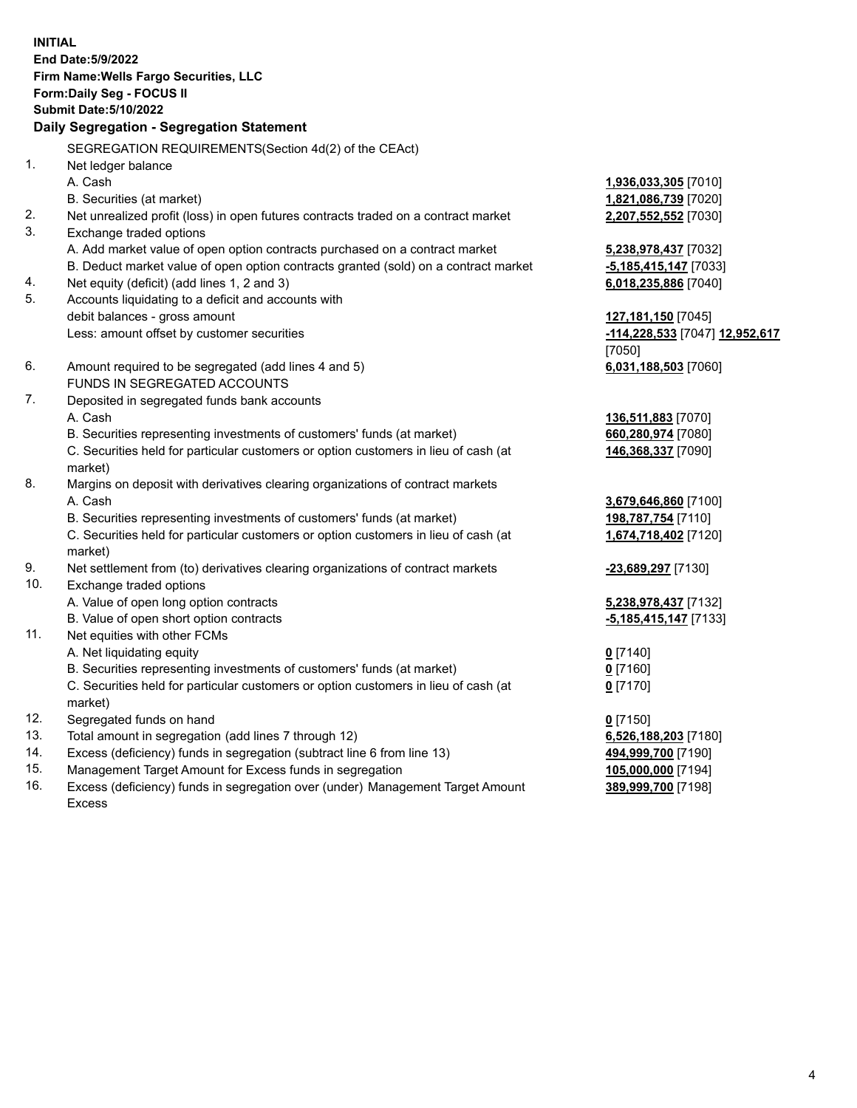**INITIAL End Date:5/9/2022 Firm Name:Wells Fargo Securities, LLC Form:Daily Seg - FOCUS II Submit Date:5/10/2022 Daily Segregation - Segregation Statement** SEGREGATION REQUIREMENTS(Section 4d(2) of the CEAct) 1. Net ledger balance A. Cash **1,936,033,305** [7010] B. Securities (at market) **1,821,086,739** [7020] 2. Net unrealized profit (loss) in open futures contracts traded on a contract market **2,207,552,552** [7030] 3. Exchange traded options A. Add market value of open option contracts purchased on a contract market **5,238,978,437** [7032] B. Deduct market value of open option contracts granted (sold) on a contract market **-5,185,415,147** [7033] 4. Net equity (deficit) (add lines 1, 2 and 3) **6,018,235,886** [7040] 5. Accounts liquidating to a deficit and accounts with debit balances - gross amount **127,181,150** [7045] Less: amount offset by customer securities **-114,228,533** [7047] **12,952,617** [7050] 6. Amount required to be segregated (add lines 4 and 5) **6,031,188,503** [7060] FUNDS IN SEGREGATED ACCOUNTS 7. Deposited in segregated funds bank accounts A. Cash **136,511,883** [7070] B. Securities representing investments of customers' funds (at market) **660,280,974** [7080] C. Securities held for particular customers or option customers in lieu of cash (at market) **146,368,337** [7090] 8. Margins on deposit with derivatives clearing organizations of contract markets A. Cash **3,679,646,860** [7100] B. Securities representing investments of customers' funds (at market) **198,787,754** [7110] C. Securities held for particular customers or option customers in lieu of cash (at market) **1,674,718,402** [7120] 9. Net settlement from (to) derivatives clearing organizations of contract markets **-23,689,297** [7130] 10. Exchange traded options A. Value of open long option contracts **5,238,978,437** [7132] B. Value of open short option contracts **-5,185,415,147** [7133] 11. Net equities with other FCMs A. Net liquidating equity **0** [7140] B. Securities representing investments of customers' funds (at market) **0** [7160] C. Securities held for particular customers or option customers in lieu of cash (at market) **0** [7170] 12. Segregated funds on hand **0** [7150] 13. Total amount in segregation (add lines 7 through 12) **6,526,188,203** [7180] 14. Excess (deficiency) funds in segregation (subtract line 6 from line 13) **494,999,700** [7190]

- 15. Management Target Amount for Excess funds in segregation **105,000,000** [7194]
- 16. Excess (deficiency) funds in segregation over (under) Management Target Amount Excess

**389,999,700** [7198]